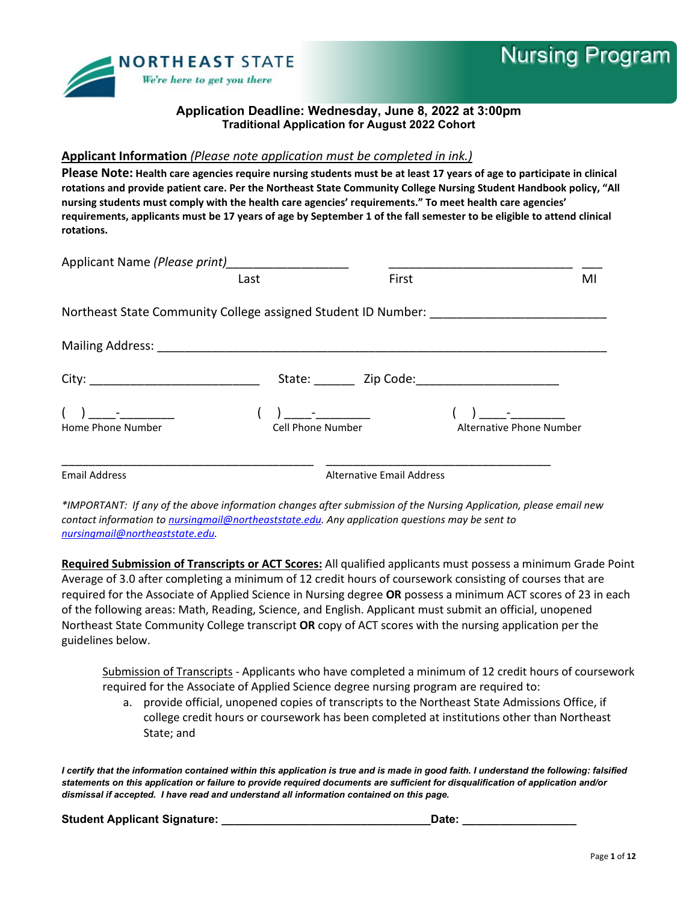

## **Applicant Information** *(Please note application must be completed in ink.)*

**Please Note: Health care agencies require nursing students must be at least 17 years of age to participate in clinical rotations and provide patient care. Per the Northeast State Community College Nursing Student Handbook policy, "All nursing students must comply with the health care agencies' requirements." To meet health care agencies' requirements, applicants must be 17 years of age by September 1 of the fall semester to be eligible to attend clinical rotations.**

| Applicant Name (Please print)                                                    | <u> 1980 - Jan Samuel Barbara, martin d</u> |                                                                           |                          |  |
|----------------------------------------------------------------------------------|---------------------------------------------|---------------------------------------------------------------------------|--------------------------|--|
|                                                                                  | Last                                        | First                                                                     | MI                       |  |
| Northeast State Community College assigned Student ID Number: __________________ |                                             |                                                                           |                          |  |
|                                                                                  |                                             |                                                                           |                          |  |
|                                                                                  |                                             |                                                                           |                          |  |
| Home Phone Number                                                                | Cell Phone Number                           | $\frac{1}{2}$ , and $\frac{1}{2}$ , and $\frac{1}{2}$ , and $\frac{1}{2}$ | Alternative Phone Number |  |
| <b>Email Address</b>                                                             |                                             | <b>Alternative Email Address</b>                                          |                          |  |

*\*IMPORTANT: If any of the above information changes after submission of the Nursing Application, please email new contact information t[o nursingmail@northeaststate.edu.](mailto:nursingmail@northeaststate.edu) Any application questions may be sent to [nursingmail@northeaststate.edu.](mailto:nursingmail@northeaststate.edu)* 

**Required Submission of Transcripts or ACT Scores:** All qualified applicants must possess a minimum Grade Point Average of 3.0 after completing a minimum of 12 credit hours of coursework consisting of courses that are required for the Associate of Applied Science in Nursing degree **OR** possess a minimum ACT scores of 23 in each of the following areas: Math, Reading, Science, and English. Applicant must submit an official, unopened Northeast State Community College transcript **OR** copy of ACT scores with the nursing application per the guidelines below.

Submission of Transcripts - Applicants who have completed a minimum of 12 credit hours of coursework required for the Associate of Applied Science degree nursing program are required to:

a. provide official, unopened copies of transcripts to the Northeast State Admissions Office, if college credit hours or coursework has been completed at institutions other than Northeast State; and

*I certify that the information contained within this application is true and is made in good faith. I understand the following: falsified statements on this application or failure to provide required documents are sufficient for disqualification of application and/or dismissal if accepted. I have read and understand all information contained on this page.*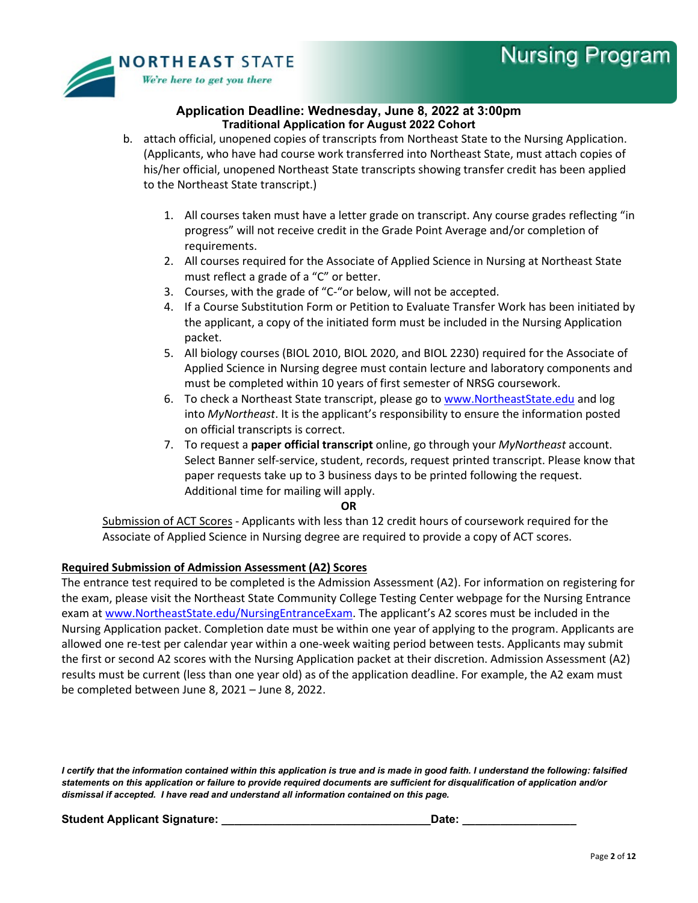

- b. attach official, unopened copies of transcripts from Northeast State to the Nursing Application. (Applicants, who have had course work transferred into Northeast State, must attach copies of his/her official, unopened Northeast State transcripts showing transfer credit has been applied to the Northeast State transcript.)
	- 1. All courses taken must have a letter grade on transcript. Any course grades reflecting "in progress" will not receive credit in the Grade Point Average and/or completion of requirements.
	- 2. All courses required for the Associate of Applied Science in Nursing at Northeast State must reflect a grade of a "C" or better.
	- 3. Courses, with the grade of "C-"or below, will not be accepted.
	- 4. If a Course Substitution Form or Petition to Evaluate Transfer Work has been initiated by the applicant, a copy of the initiated form must be included in the Nursing Application packet.
	- 5. All biology courses (BIOL 2010, BIOL 2020, and BIOL 2230) required for the Associate of Applied Science in Nursing degree must contain lecture and laboratory components and must be completed within 10 years of first semester of NRSG coursework.
	- 6. To check a Northeast State transcript, please go to [www.NortheastState.edu](http://www.northeaststate.edu/) and log into *MyNortheast*. It is the applicant's responsibility to ensure the information posted on official transcripts is correct.
	- 7. To request a **paper official transcript** online, go through your *MyNortheast* account. Select Banner self-service, student, records, request printed transcript. Please know that paper requests take up to 3 business days to be printed following the request. Additional time for mailing will apply.

#### **OR**

Submission of ACT Scores - Applicants with less than 12 credit hours of coursework required for the Associate of Applied Science in Nursing degree are required to provide a copy of ACT scores.

## **Required Submission of Admission Assessment (A2) Scores**

The entrance test required to be completed is the Admission Assessment (A2). For information on registering for the exam, please visit the Northeast State Community College Testing Center webpage for the Nursing Entrance exam at [www.NortheastState.edu/NursingEntranceExam.](http://www.northeaststate.edu/NursingEntranceExam) The applicant's A2 scores must be included in the Nursing Application packet. Completion date must be within one year of applying to the program. Applicants are allowed one re-test per calendar year within a one-week waiting period between tests. Applicants may submit the first or second A2 scores with the Nursing Application packet at their discretion. Admission Assessment (A2) results must be current (less than one year old) as of the application deadline. For example, the A2 exam must be completed between June 8, 2021 – June 8, 2022.

*I certify that the information contained within this application is true and is made in good faith. I understand the following: falsified statements on this application or failure to provide required documents are sufficient for disqualification of application and/or dismissal if accepted. I have read and understand all information contained on this page.*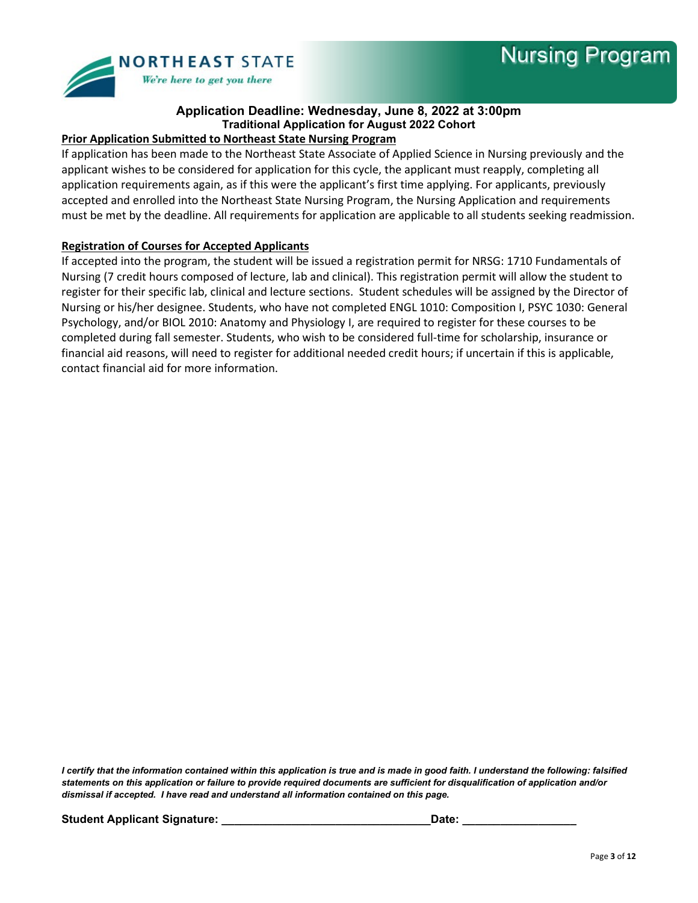

## **Prior Application Submitted to Northeast State Nursing Program**

If application has been made to the Northeast State Associate of Applied Science in Nursing previously and the applicant wishes to be considered for application for this cycle, the applicant must reapply, completing all application requirements again, as if this were the applicant's first time applying. For applicants, previously accepted and enrolled into the Northeast State Nursing Program, the Nursing Application and requirements must be met by the deadline. All requirements for application are applicable to all students seeking readmission.

## **Registration of Courses for Accepted Applicants**

If accepted into the program, the student will be issued a registration permit for NRSG: 1710 Fundamentals of Nursing (7 credit hours composed of lecture, lab and clinical). This registration permit will allow the student to register for their specific lab, clinical and lecture sections. Student schedules will be assigned by the Director of Nursing or his/her designee. Students, who have not completed ENGL 1010: Composition I, PSYC 1030: General Psychology, and/or BIOL 2010: Anatomy and Physiology I, are required to register for these courses to be completed during fall semester. Students, who wish to be considered full-time for scholarship, insurance or financial aid reasons, will need to register for additional needed credit hours; if uncertain if this is applicable, contact financial aid for more information.

*I certify that the information contained within this application is true and is made in good faith. I understand the following: falsified statements on this application or failure to provide required documents are sufficient for disqualification of application and/or dismissal if accepted. I have read and understand all information contained on this page.*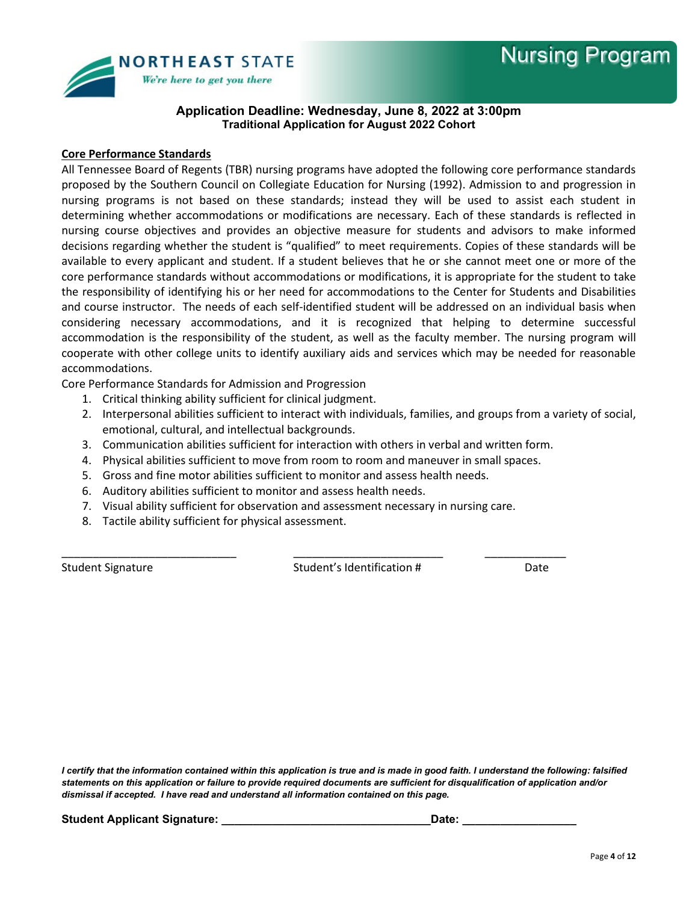

#### **Core Performance Standards**

All Tennessee Board of Regents (TBR) nursing programs have adopted the following core performance standards proposed by the Southern Council on Collegiate Education for Nursing (1992). Admission to and progression in nursing programs is not based on these standards; instead they will be used to assist each student in determining whether accommodations or modifications are necessary. Each of these standards is reflected in nursing course objectives and provides an objective measure for students and advisors to make informed decisions regarding whether the student is "qualified" to meet requirements. Copies of these standards will be available to every applicant and student. If a student believes that he or she cannot meet one or more of the core performance standards without accommodations or modifications, it is appropriate for the student to take the responsibility of identifying his or her need for accommodations to the Center for Students and Disabilities and course instructor. The needs of each self-identified student will be addressed on an individual basis when considering necessary accommodations, and it is recognized that helping to determine successful accommodation is the responsibility of the student, as well as the faculty member. The nursing program will cooperate with other college units to identify auxiliary aids and services which may be needed for reasonable accommodations.

Core Performance Standards for Admission and Progression

- 1. Critical thinking ability sufficient for clinical judgment.
- 2. Interpersonal abilities sufficient to interact with individuals, families, and groups from a variety of social, emotional, cultural, and intellectual backgrounds.
- 3. Communication abilities sufficient for interaction with others in verbal and written form.
- 4. Physical abilities sufficient to move from room to room and maneuver in small spaces.

\_\_\_\_\_\_\_\_\_\_\_\_\_\_\_\_\_\_\_\_\_\_\_\_\_\_\_\_ \_\_\_\_\_\_\_\_\_\_\_\_\_\_\_\_\_\_\_\_\_\_\_\_ \_\_\_\_\_\_\_\_\_\_\_\_\_

- 5. Gross and fine motor abilities sufficient to monitor and assess health needs.
- 6. Auditory abilities sufficient to monitor and assess health needs.
- 7. Visual ability sufficient for observation and assessment necessary in nursing care.
- 8. Tactile ability sufficient for physical assessment.

Student Signature The Student Student's Identification # Student Signature Date

*I certify that the information contained within this application is true and is made in good faith. I understand the following: falsified statements on this application or failure to provide required documents are sufficient for disqualification of application and/or dismissal if accepted. I have read and understand all information contained on this page.*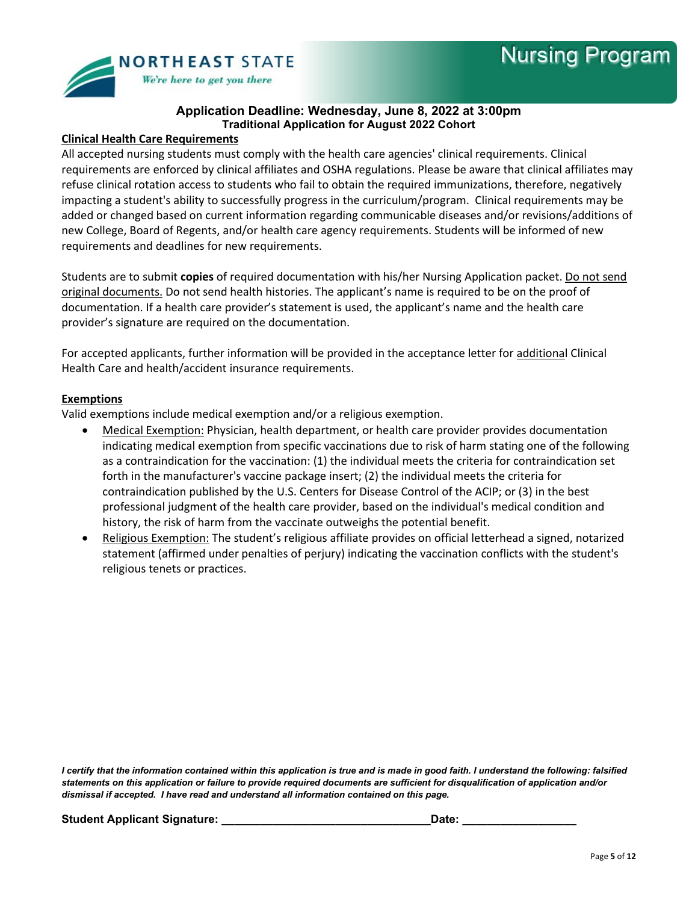

## **Clinical Health Care Requirements**

All accepted nursing students must comply with the health care agencies' clinical requirements. Clinical requirements are enforced by clinical affiliates and OSHA regulations. Please be aware that clinical affiliates may refuse clinical rotation access to students who fail to obtain the required immunizations, therefore, negatively impacting a student's ability to successfully progress in the curriculum/program. Clinical requirements may be added or changed based on current information regarding communicable diseases and/or revisions/additions of new College, Board of Regents, and/or health care agency requirements. Students will be informed of new requirements and deadlines for new requirements.

Students are to submit **copies** of required documentation with his/her Nursing Application packet. Do not send original documents. Do not send health histories. The applicant's name is required to be on the proof of documentation. If a health care provider's statement is used, the applicant's name and the health care provider's signature are required on the documentation.

For accepted applicants, further information will be provided in the acceptance letter for additional Clinical Health Care and health/accident insurance requirements.

#### **Exemptions**

Valid exemptions include medical exemption and/or a religious exemption.

- Medical Exemption: Physician, health department, or health care provider provides documentation indicating medical exemption from specific vaccinations due to risk of harm stating one of the following as a contraindication for the vaccination: (1) the individual meets the criteria for contraindication set forth in the manufacturer's vaccine package insert; (2) the individual meets the criteria for contraindication published by the U.S. Centers for Disease Control of the ACIP; or (3) in the best professional judgment of the health care provider, based on the individual's medical condition and history, the risk of harm from the vaccinate outweighs the potential benefit.
- Religious Exemption: The student's religious affiliate provides on official letterhead a signed, notarized statement (affirmed under penalties of perjury) indicating the vaccination conflicts with the student's religious tenets or practices.

*I certify that the information contained within this application is true and is made in good faith. I understand the following: falsified statements on this application or failure to provide required documents are sufficient for disqualification of application and/or dismissal if accepted. I have read and understand all information contained on this page.*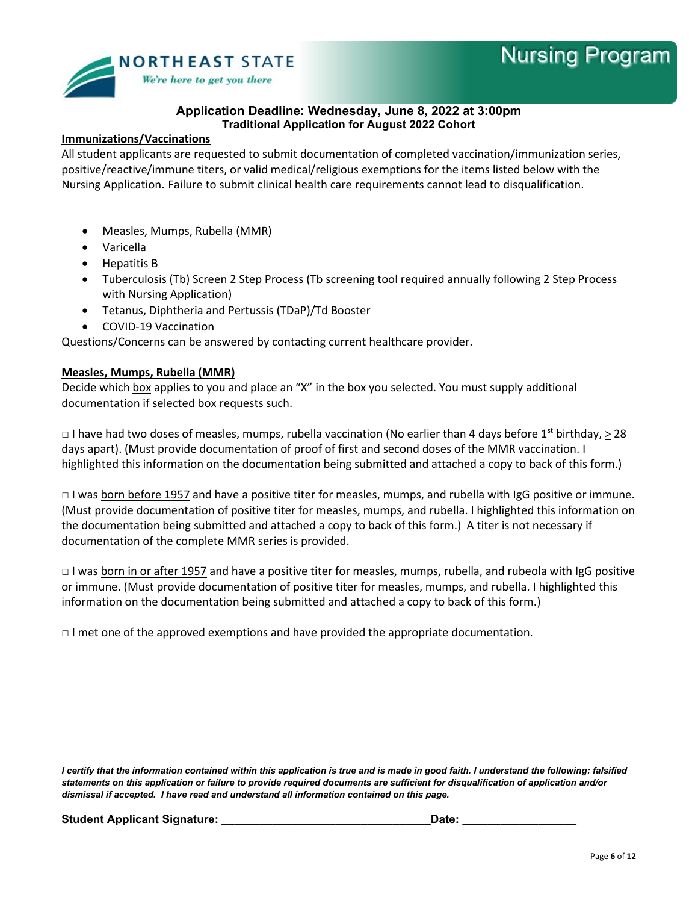

#### **Immunizations/Vaccinations**

All student applicants are requested to submit documentation of completed vaccination/immunization series, positive/reactive/immune titers, or valid medical/religious exemptions for the items listed below with the Nursing Application. Failure to submit clinical health care requirements cannot lead to disqualification.

- Measles, Mumps, Rubella (MMR)
- Varicella
- Hepatitis B
- Tuberculosis (Tb) Screen 2 Step Process (Tb screening tool required annually following 2 Step Process with Nursing Application)
- Tetanus, Diphtheria and Pertussis (TDaP)/Td Booster
- COVID-19 Vaccination

Questions/Concerns can be answered by contacting current healthcare provider.

#### **Measles, Mumps, Rubella (MMR)**

Decide which box applies to you and place an "X" in the box you selected. You must supply additional documentation if selected box requests such.

 $\Box$  I have had two doses of measles, mumps, rubella vaccination (No earlier than 4 days before 1st birthday, > 28 days apart). (Must provide documentation of proof of first and second doses of the MMR vaccination. I highlighted this information on the documentation being submitted and attached a copy to back of this form.)

□ I was **born before 1957** and have a positive titer for measles, mumps, and rubella with IgG positive or immune. (Must provide documentation of positive titer for measles, mumps, and rubella. I highlighted this information on the documentation being submitted and attached a copy to back of this form.) A titer is not necessary if documentation of the complete MMR series is provided.

□ I was born in or after 1957 and have a positive titer for measles, mumps, rubella, and rubeola with IgG positive or immune. (Must provide documentation of positive titer for measles, mumps, and rubella. I highlighted this information on the documentation being submitted and attached a copy to back of this form.)

 $\Box$  I met one of the approved exemptions and have provided the appropriate documentation.

*I certify that the information contained within this application is true and is made in good faith. I understand the following: falsified statements on this application or failure to provide required documents are sufficient for disqualification of application and/or dismissal if accepted. I have read and understand all information contained on this page.*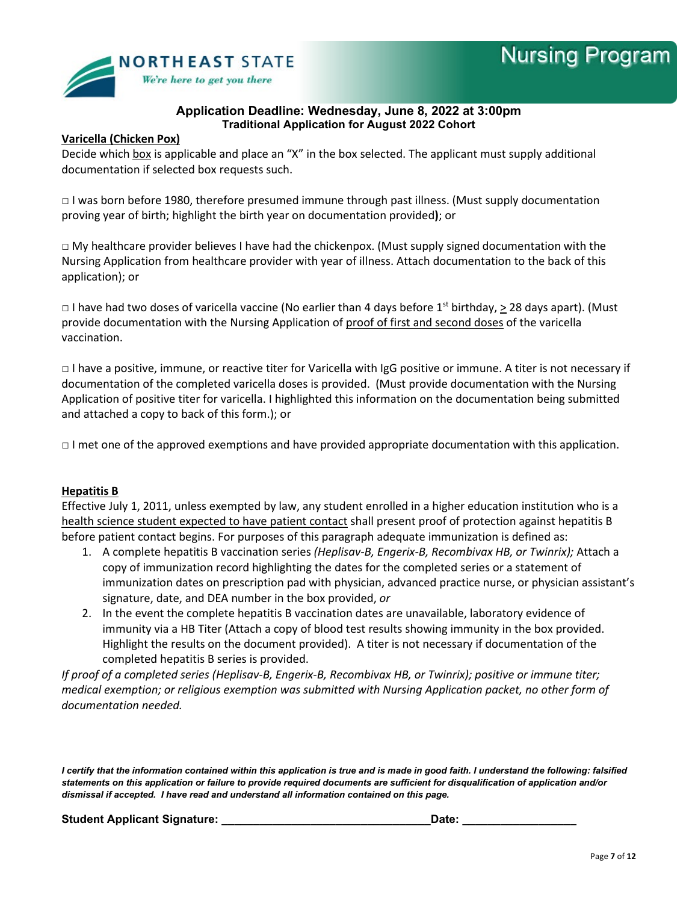

#### **Varicella (Chicken Pox)**

Decide which box is applicable and place an "X" in the box selected. The applicant must supply additional documentation if selected box requests such.

□ I was born before 1980, therefore presumed immune through past illness. (Must supply documentation proving year of birth; highlight the birth year on documentation provided**)**; or

 $\Box$  My healthcare provider believes I have had the chickenpox. (Must supply signed documentation with the Nursing Application from healthcare provider with year of illness. Attach documentation to the back of this application); or

 $\Box$  I have had two doses of varicella vaccine (No earlier than 4 days before 1<sup>st</sup> birthday,  $\geq$  28 days apart). (Must provide documentation with the Nursing Application of proof of first and second doses of the varicella vaccination.

□ I have a positive, immune, or reactive titer for Varicella with IgG positive or immune. A titer is not necessary if documentation of the completed varicella doses is provided. (Must provide documentation with the Nursing Application of positive titer for varicella. I highlighted this information on the documentation being submitted and attached a copy to back of this form.); or

□ I met one of the approved exemptions and have provided appropriate documentation with this application.

#### **Hepatitis B**

Effective July 1, 2011, unless exempted by law, any student enrolled in a higher education institution who is a health science student expected to have patient contact shall present proof of protection against hepatitis B before patient contact begins. For purposes of this paragraph adequate immunization is defined as:

- 1. A complete hepatitis B vaccination series *(Heplisav-B, Engerix-B, Recombivax HB, or Twinrix);* Attach a copy of immunization record highlighting the dates for the completed series or a statement of immunization dates on prescription pad with physician, advanced practice nurse, or physician assistant's signature, date, and DEA number in the box provided, *or*
- 2. In the event the complete hepatitis B vaccination dates are unavailable, laboratory evidence of immunity via a HB Titer (Attach a copy of blood test results showing immunity in the box provided. Highlight the results on the document provided). A titer is not necessary if documentation of the completed hepatitis B series is provided.

*If proof of a completed series (Heplisav-B, Engerix-B, Recombivax HB, or Twinrix); positive or immune titer; medical exemption; or religious exemption was submitted with Nursing Application packet, no other form of documentation needed.* 

*I certify that the information contained within this application is true and is made in good faith. I understand the following: falsified statements on this application or failure to provide required documents are sufficient for disqualification of application and/or dismissal if accepted. I have read and understand all information contained on this page.*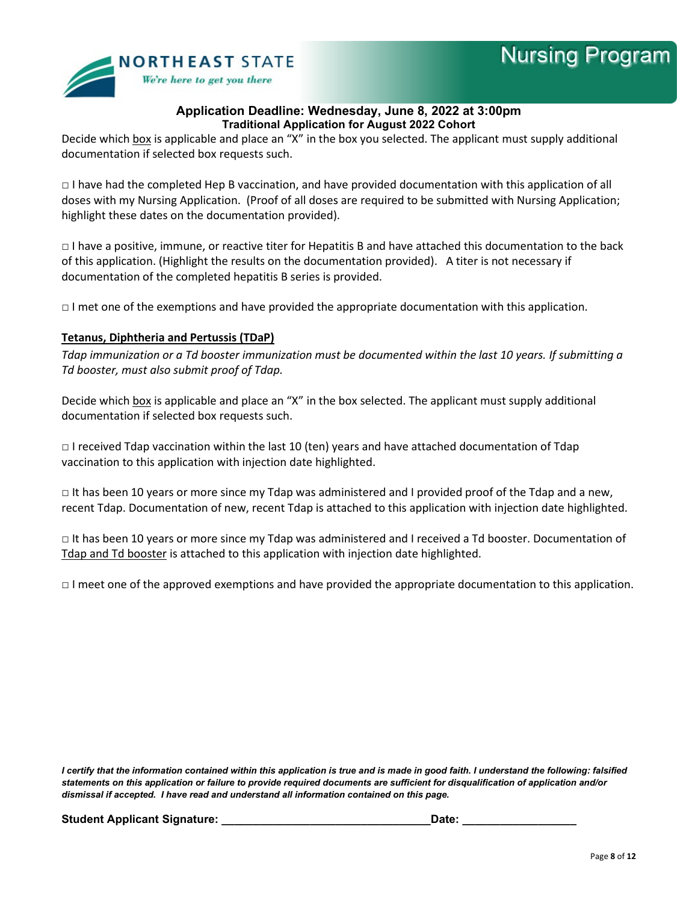

Decide which box is applicable and place an "X" in the box you selected. The applicant must supply additional documentation if selected box requests such.

 $\Box$  I have had the completed Hep B vaccination, and have provided documentation with this application of all doses with my Nursing Application. (Proof of all doses are required to be submitted with Nursing Application; highlight these dates on the documentation provided).

□ I have a positive, immune, or reactive titer for Hepatitis B and have attached this documentation to the back of this application. (Highlight the results on the documentation provided). A titer is not necessary if documentation of the completed hepatitis B series is provided.

 $\Box$  I met one of the exemptions and have provided the appropriate documentation with this application.

## **Tetanus, Diphtheria and Pertussis (TDaP)**

*Tdap immunization or a Td booster immunization must be documented within the last 10 years. If submitting a Td booster, must also submit proof of Tdap.*

Decide which box is applicable and place an "X" in the box selected. The applicant must supply additional documentation if selected box requests such.

 $\Box$  I received Tdap vaccination within the last 10 (ten) years and have attached documentation of Tdap vaccination to this application with injection date highlighted.

 $\Box$  It has been 10 years or more since my Tdap was administered and I provided proof of the Tdap and a new, recent Tdap. Documentation of new, recent Tdap is attached to this application with injection date highlighted.

□ It has been 10 years or more since my Tdap was administered and I received a Td booster. Documentation of Tdap and Td booster is attached to this application with injection date highlighted.

 $\Box$  I meet one of the approved exemptions and have provided the appropriate documentation to this application.

*I certify that the information contained within this application is true and is made in good faith. I understand the following: falsified statements on this application or failure to provide required documents are sufficient for disqualification of application and/or dismissal if accepted. I have read and understand all information contained on this page.*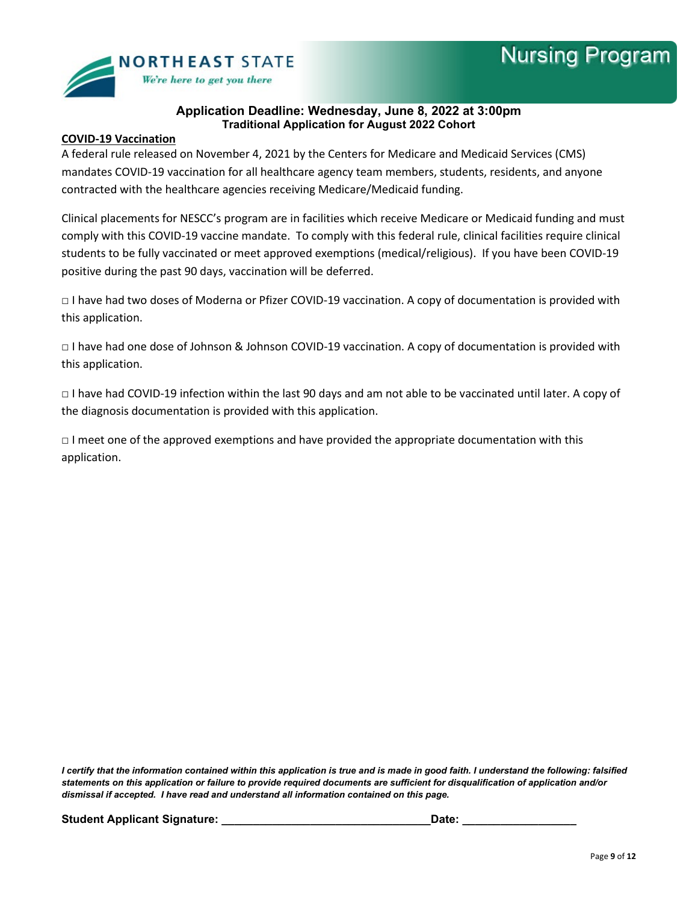

#### **COVID-19 Vaccination**

A federal rule released on November 4, 2021 by the Centers for Medicare and Medicaid Services (CMS) mandates COVID-19 vaccination for all healthcare agency team members, students, residents, and anyone contracted with the healthcare agencies receiving Medicare/Medicaid funding.

Clinical placements for NESCC's program are in facilities which receive Medicare or Medicaid funding and must comply with this COVID-19 vaccine mandate. To comply with this federal rule, clinical facilities require clinical students to be fully vaccinated or meet approved exemptions (medical/religious). If you have been COVID-19 positive during the past 90 days, vaccination will be deferred.

□ I have had two doses of Moderna or Pfizer COVID-19 vaccination. A copy of documentation is provided with this application.

□ I have had one dose of Johnson & Johnson COVID-19 vaccination. A copy of documentation is provided with this application.

□ I have had COVID-19 infection within the last 90 days and am not able to be vaccinated until later. A copy of the diagnosis documentation is provided with this application.

 $\Box$  I meet one of the approved exemptions and have provided the appropriate documentation with this application.

*I certify that the information contained within this application is true and is made in good faith. I understand the following: falsified statements on this application or failure to provide required documents are sufficient for disqualification of application and/or dismissal if accepted. I have read and understand all information contained on this page.*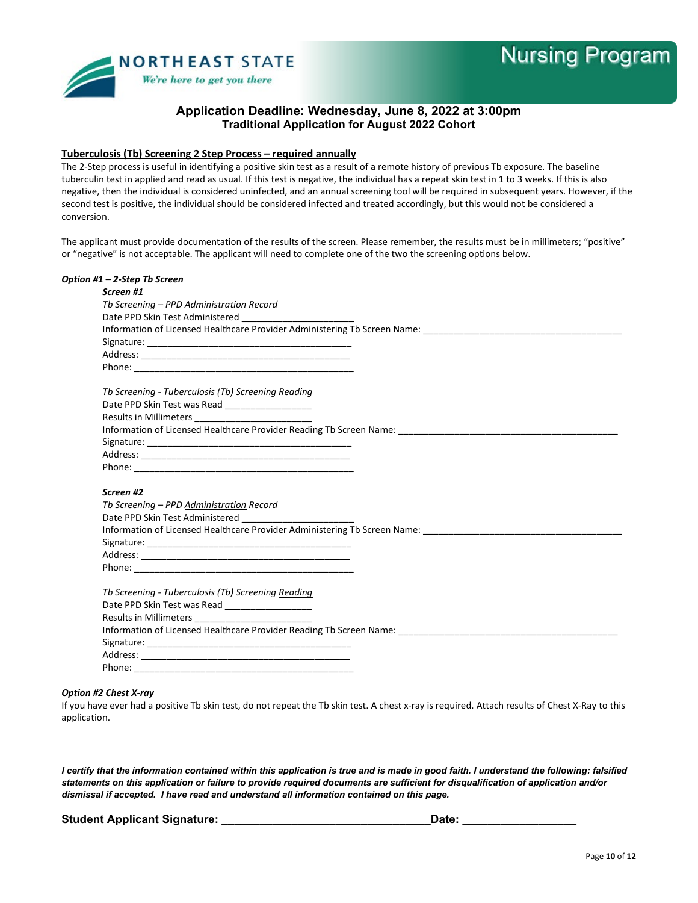

#### **Tuberculosis (Tb) Screening 2 Step Process – required annually**

The 2-Step process is useful in identifying a positive skin test as a result of a remote history of previous Tb exposure. The baseline tuberculin test in applied and read as usual. If this test is negative, the individual has a repeat skin test in 1 to 3 weeks. If this is also negative, then the individual is considered uninfected, and an annual screening tool will be required in subsequent years. However, if the second test is positive, the individual should be considered infected and treated accordingly, but this would not be considered a conversion.

The applicant must provide documentation of the results of the screen. Please remember, the results must be in millimeters; "positive" or "negative" is not acceptable. The applicant will need to complete one of the two the screening options below.

| Option #1 – 2-Step Tb Screen                                                                                                                                                                                                   |  |
|--------------------------------------------------------------------------------------------------------------------------------------------------------------------------------------------------------------------------------|--|
| Screen #1                                                                                                                                                                                                                      |  |
| Tb Screening - PPD Administration Record                                                                                                                                                                                       |  |
| Date PPD Skin Test Administered                                                                                                                                                                                                |  |
| Information of Licensed Healthcare Provider Administering Tb Screen Name: [1986] [1986] [1986] [1986] [1986] [1986] [1986] [1986] [1986] [1986] [1986] [1986] [1986] [1986] [1986] [1986] [1986] [1986] [1986] [1986] [1986] [ |  |
|                                                                                                                                                                                                                                |  |
|                                                                                                                                                                                                                                |  |
|                                                                                                                                                                                                                                |  |
| Tb Screening - Tuberculosis (Tb) Screening Reading                                                                                                                                                                             |  |
| Date PPD Skin Test was Read ____________________                                                                                                                                                                               |  |
|                                                                                                                                                                                                                                |  |
|                                                                                                                                                                                                                                |  |
|                                                                                                                                                                                                                                |  |
|                                                                                                                                                                                                                                |  |
|                                                                                                                                                                                                                                |  |
|                                                                                                                                                                                                                                |  |
| Screen #2                                                                                                                                                                                                                      |  |
| Tb Screening - PPD Administration Record                                                                                                                                                                                       |  |
|                                                                                                                                                                                                                                |  |
| Information of Licensed Healthcare Provider Administering Tb Screen Name: [1986] [1986] [1986] [1986] [1986] [1986] [1986] [1986] [1986] [1986] [1986] [1986] [1986] [1986] [1986] [1986] [1986] [1986] [1986] [1986] [1986] [ |  |
|                                                                                                                                                                                                                                |  |
|                                                                                                                                                                                                                                |  |
|                                                                                                                                                                                                                                |  |
|                                                                                                                                                                                                                                |  |
| Tb Screening - Tuberculosis (Tb) Screening Reading                                                                                                                                                                             |  |
| Date PPD Skin Test was Read ____________________                                                                                                                                                                               |  |
|                                                                                                                                                                                                                                |  |
| Information of Licensed Healthcare Provider Reading Tb Screen Name: [1986] [1986] [1986] [1986] [1986] [1986] [1986] [1986] [1986] [1986] [1986] [1986] [1986] [1986] [1986] [1986] [1986] [1986] [1986] [1986] [1986] [1986]  |  |
|                                                                                                                                                                                                                                |  |
|                                                                                                                                                                                                                                |  |
|                                                                                                                                                                                                                                |  |

#### *Option #2 Chest X-ray*

If you have ever had a positive Tb skin test, do not repeat the Tb skin test. A chest x-ray is required. Attach results of Chest X-Ray to this application.

*I certify that the information contained within this application is true and is made in good faith. I understand the following: falsified statements on this application or failure to provide required documents are sufficient for disqualification of application and/or dismissal if accepted. I have read and understand all information contained on this page.*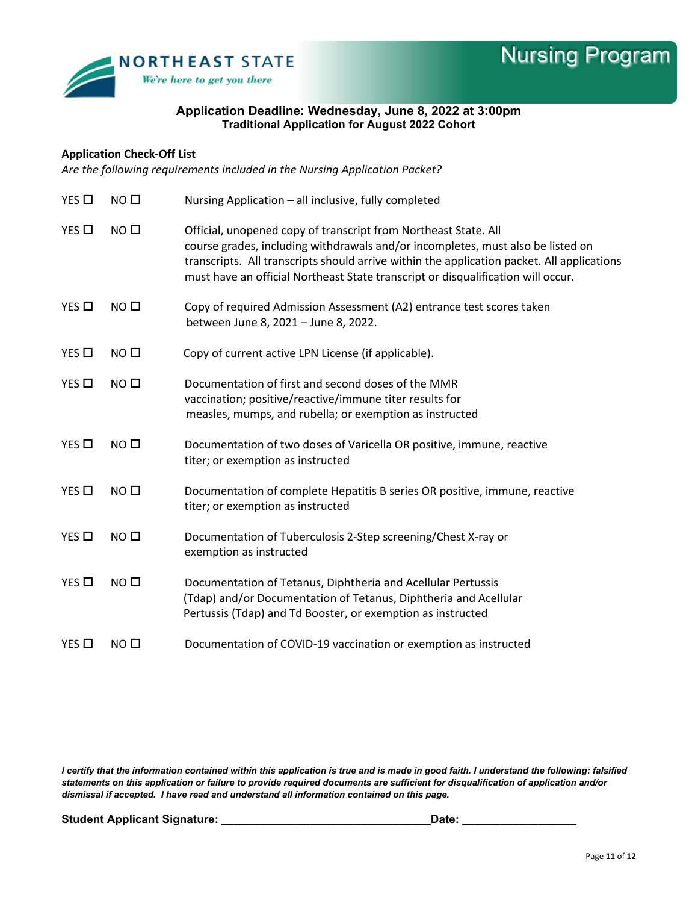

## **Application Check-Off List**

*Are the following requirements included in the Nursing Application Packet?* 

| $YES$ $\square$ | NO <sub>1</sub>  | Nursing Application - all inclusive, fully completed                                                                                                                                                                                                                                                                                 |
|-----------------|------------------|--------------------------------------------------------------------------------------------------------------------------------------------------------------------------------------------------------------------------------------------------------------------------------------------------------------------------------------|
| $YES$ $\square$ | NO <sub>0</sub>  | Official, unopened copy of transcript from Northeast State. All<br>course grades, including withdrawals and/or incompletes, must also be listed on<br>transcripts. All transcripts should arrive within the application packet. All applications<br>must have an official Northeast State transcript or disqualification will occur. |
| YES □           | NO <sub>0</sub>  | Copy of required Admission Assessment (A2) entrance test scores taken<br>between June 8, 2021 - June 8, 2022.                                                                                                                                                                                                                        |
| $YES$ $\square$ | NO <sub>0</sub>  | Copy of current active LPN License (if applicable).                                                                                                                                                                                                                                                                                  |
| $YES$ $\square$ | NO <sub>0</sub>  | Documentation of first and second doses of the MMR<br>vaccination; positive/reactive/immune titer results for<br>measles, mumps, and rubella; or exemption as instructed                                                                                                                                                             |
| $YES$ $\square$ | NO <sub>0</sub>  | Documentation of two doses of Varicella OR positive, immune, reactive<br>titer; or exemption as instructed                                                                                                                                                                                                                           |
| YES □           | NO <sub>0</sub>  | Documentation of complete Hepatitis B series OR positive, immune, reactive<br>titer; or exemption as instructed                                                                                                                                                                                                                      |
| YES             | NO <sub>1</sub>  | Documentation of Tuberculosis 2-Step screening/Chest X-ray or<br>exemption as instructed                                                                                                                                                                                                                                             |
| $YES$ $\Box$    | NO <sub>0</sub>  | Documentation of Tetanus, Diphtheria and Acellular Pertussis<br>(Tdap) and/or Documentation of Tetanus, Diphtheria and Acellular<br>Pertussis (Tdap) and Td Booster, or exemption as instructed                                                                                                                                      |
| $YES$ $\square$ | NO <sub>II</sub> | Documentation of COVID-19 vaccination or exemption as instructed                                                                                                                                                                                                                                                                     |

*I certify that the information contained within this application is true and is made in good faith. I understand the following: falsified statements on this application or failure to provide required documents are sufficient for disqualification of application and/or dismissal if accepted. I have read and understand all information contained on this page.*